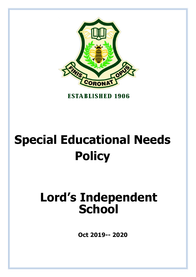

**ESTABLISHED 1906** 

# **Special Educational Needs Policy**

# **Lord's Independent School**

**Oct 2019-- 2020**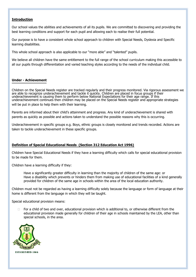# **Introduction**

Our school values the abilities and achievements of all its pupils. We are committed to discovering and providing the best learning conditions and support for each pupil and allowing each to realise their full potential.

Our purpose is to have a consistent whole school approach to children with Special Needs, Dyslexia and Specific learning disabilities.

This whole school approach is also applicable to our "more able" and "talented" pupils.

We believe all children have the same entitlement to the full range of the school curriculum making this accessible to all our pupils through differentiation and varied teaching styles according to the needs of the individual child.

#### **Under - Achievement**

Children on the Special Needs register are tracked regularly and their progress monitored. Via rigorous assessment we are able to recognize underachievement and tackle it quickly. Children are placed in focus groups if their underachievement is causing them to perform below National Expectations for their age range. If this underachievement continues then children may be placed on the Special Needs register and appropriate strategies will be put in place to help them with their learning.

Parents are informed about their child's attainment and progress. Any kind of underachievement is shared with parents as quickly as possible and actions taken to understand the possible reasons why this is occurring.

Underachievement in specific groups e.g. Boys, ethnic groups is closely monitored and trends recorded. Actions are taken to tackle underachievement in these specific groups.

#### **Definition of Special Educational Needs (Section 312 Education Act 1996)**

Children have Special Educational Needs if they have a learning difficulty which calls for special educational provision to be made for them.

Children have a learning difficulty if they:

Have a significantly greater difficulty in learning than the majority of children of the same age: or Have a disability which prevents or hinders them from making use of educational facilities of a kind generally provided for children of the same age in schools within the area of the local education authority.

Children must not be regarded as having a learning difficulty solely because the language or form of language at their home is different from the language in which they will be taught.

Special educational provision means:

 $\Box$  For a child of two and over, educational provision which is additional to, or otherwise different from the educational provision made generally for children of their age in schools maintained by the LEA, other than special schools, in the area.

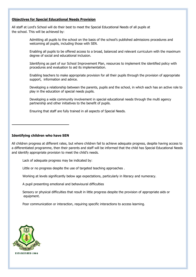# **Objectives for Special Educational Needs Provision**

All staff at Lord's School will do their best to meet the Special Educational Needs of all pupils at the school. This will be achieved by:

> Admitting all pupils to the school on the basis of the school's published admissions procedures and welcoming all pupils, including those with SEN.

Enabling all pupils to be offered access to a broad, balanced and relevant curriculum with the maximum degree of social and educational inclusion.

Identifying as part of our School Improvement Plan, resources to implement the identified policy with procedures and evaluation to aid its implementation.

Enabling teachers to make appropriate provision for all their pupils through the provision of appropriate support, information and advice.

Developing a relationship between the parents, pupils and the school, in which each has an active role to play in the education of special needs pupils.

Developing a wide community involvement in special educational needs through the multi agency partnership and other initiatives to the benefit of pupils.

Ensuring that staff are fully trained in all aspects of Special Needs.

#### **Identifying children who have SEN**

All children progress at different rates, but where children fail to achieve adequate progress, despite having access to a differentiated programme, then their parents and staff will be informed that the child has Special Educational Needs and identify appropriate provision to meet the child's needs.

Lack of adequate progress may be indicated by:

Little or no progress despite the use of targeted teaching approaches .

Working at levels significantly below age expectations, particularly in literacy and numeracy.

A pupil presenting emotional and behavioural difficulties

Sensory or physical difficulties that result in little progress despite the provision of appropriate aids or equipment.

Poor communication or interaction, requiring specific interactions to access learning.

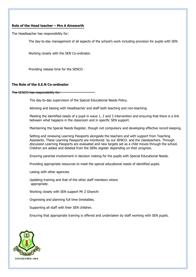# **Role of the Head teacher – Mrs A Ainsworth**

The Headteacher has responsibility for:

The day-to-day management of all aspects of the school's work including provision for pupils with SEN.

Working closely with the SEN Co-ordinator.

Providing release time for the SENCO .

# **The Role of the S.E.N Co-ordinator**

The SENCO has responsibility for:

The day-to-day supervision of the Special Educational Needs Policy.

Advising and liaising with Headteacher and staff both teaching and non-teaching.

Meeting the identified needs of a pupil in wave 1, 2 and 3 intervention and ensuring that there is a link between what happens in the classroom and in specific SEN support.

Maintaining the Special Needs Register, though not compulsory and developing effective record keeping.

Setting and renewing Learning Passports alongside the teachers and with support from Teaching Assistants. These Learning Passports are monitored by our SENCO. and the classteachers. Through discussion Learning Passports are evaluated and new targets set as a child moves through the school. Children are added and deleted from the SENs register depending on their progress.

Ensuring parental involvement in decision making for the pupils with Special Educational Needs.

Providing appropriate resources to meet the special educational needs of identified pupils.

Laising with other agencies.

Updating training and that of the other staff members where appropriate.

Working closely with SEN support Mr Z Ghanchi

Organising and planning full time timetables.

Supporting all staff with their SEN children.

Ensuring that appropriate training is offered and undertaken by staff working with SEN pupils.

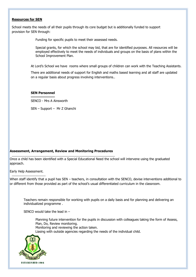#### **Resources for SEN**

School meets the needs of all their pupils through its core budget but is additionally funded to support provision for SEN through:

Funding for specific pupils to meet their assessed needs.

Special grants, for which the school may bid, that are for identified purposes. All resources will be employed effectively to meet the needs of individuals and groups on the basis of plans within the School Improvement Plan.

At Lord's School we have rooms where small groups of children can work with the Teaching Assistants.

There are additional needs of support for English and maths based learning and all staff are updated on a regular basis about progress involving interventions..

#### **SEN Personnel**

SENCO - Mrs A Ainsworth

SEN – Support – Mr Z Ghanchi

#### **Assessment, Arrangement, Review and Monitoring Procedures**

Once a child has been identified with a Special Educational Need the school will intervene using the graduated approach.

Early Help Assessment.

When staff identify that a pupil has SEN – teachers, in consultation with the SENCO, devise interventions additional to or different from those provided as part of the school's usual differentiated curriculum in the classroom.

Teachers remain responsible for working with pupils on a daily basis and for planning and delivering an individualized programme .

SENCO would take the lead in  $-$ 

Planning future intervention for the pupils in discussion with colleagues taking the form of Assess, Plan, Do, Review monitoring. Monitoring and reviewing the action taken.

Liasing with outside agencies regarding the needs of the individual child.

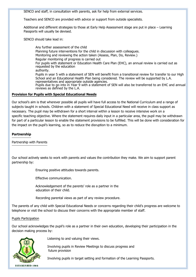SENCO and staff, in consultation with parents, ask for help from external services.

Teachers and SENCO are provided with advice or support from outside specialists.

Additional and different strategies to those at Early Help Assessment stage are put in place – Learning Passports will usually be devised.

SENCO should take lead in:

Any further assessment of the child Planning future interventions for the child in discussion with colleagues. Monitoring and reviewing the action taken (Assess, Plan, Do, Review.) Regular monitoring of progress is carried out For pupils with statement or Education Health Care Plan (EHC), an annual review is carried out as requested by the education authority. Pupils in year 5 with a statement of SEN will benefit from a transitional review for transfer to our High School and an Educational Health Plan being considered. The review will be supported by L.A. representatives and appropriate outside agencies. Pupils due to go into in Year 9 with a statement of SEN will also be transferred to an EHC and annual reviews as defined by the L.A.

#### **Provision for Pupils with Special Educational Needs**

Our school's aim is that wherever possible all pupils will have full access to the National Curriculum and a range of subjects taught in schools. Children with a statement of Special Educational Need will receive in class support as necessary. The pupil may be withdrawn for a short interval within a lesson to receive intensive work on a specific teaching objective. Where the statement requires daily input in a particular area, the pupil may be withdrawn for part of a particular lesson to enable the statement provisions to be fulfilled. This will be done with consideration for the impact on the pupil's learning, so as to reduce the disruption to a minimum.

# **Partnership**

Partnership with Parents

Our school actively seeks to work with parents and values the contribution they make. We aim to support parent partnership by:

Ensuring positive attitudes towards parents.

Effective communication.

Acknowledgement of the parents' role as a partner in the education of their child.

Recording parental views as part of any review procedure.

The parents of any child with Special Educational Needs or concerns regarding their child's progress are welcome to telephone or visit the school to discuss their concerns with the appropriate member of staff.

#### Pupils Participation

Our school acknowledges the pupil's role as a partner in their own education, developing their participation in the decision making process by:



Listening to and valuing their views.

Involving pupils in Review Meetings to discuss progress and future provision

Involving pupils in target setting and formation of the Learning Passports.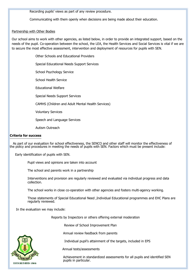Recording pupils' views as part of any review procedure.

Communicating with them openly when decisions are being made about their education.

#### Partnership with Other Bodies

Our school aims to work with other agencies, as listed below, in order to provide an integrated support, based on the needs of the pupil. Co-operation between the school, the LEA, the Health Services and Social Services is vital if we are to secure the most effective assessment, intervention and deployment of resources for pupils with SEN.

Other Schools and Educational Providers

Special Educational Needs Support Services

School Psychology Service

School Health Service

Educational Welfare

Special Needs Support Services

CAMHS (Children and Adult Mental Health Services)

Voluntary Services

Speech and Language Services

Autism Outreach

#### **Criteria for success**

As part of our evaluation for school effectiveness, the SENCO and other staff will monitor the effectiveness of the policy and procedures in meeting the needs of pupils with SEN. Factors which must be present include:

Early identification of pupils with SEN.

Pupil views and opinions are taken into account

The school and parents work in a partnership

Interventions and provision are regularly reviewed and evaluated via individual progress and data collection.

The school works in close co-operation with other agencies and fosters multi-agency working.

Those statements of Special Educational Need ,Individual Educational programmes and EHC Plans are regularly reviewed.

In the evaluation we may include:

Reports by Inspectors or others offering external moderation

Review of School Improvement Plan

Annual review feedback from parents

Individual pupil's attainment of the targets, included in EPS

Annual tests/assessments

Achievement in standardized assessments for all pupils and identified SEN pupils in particular.